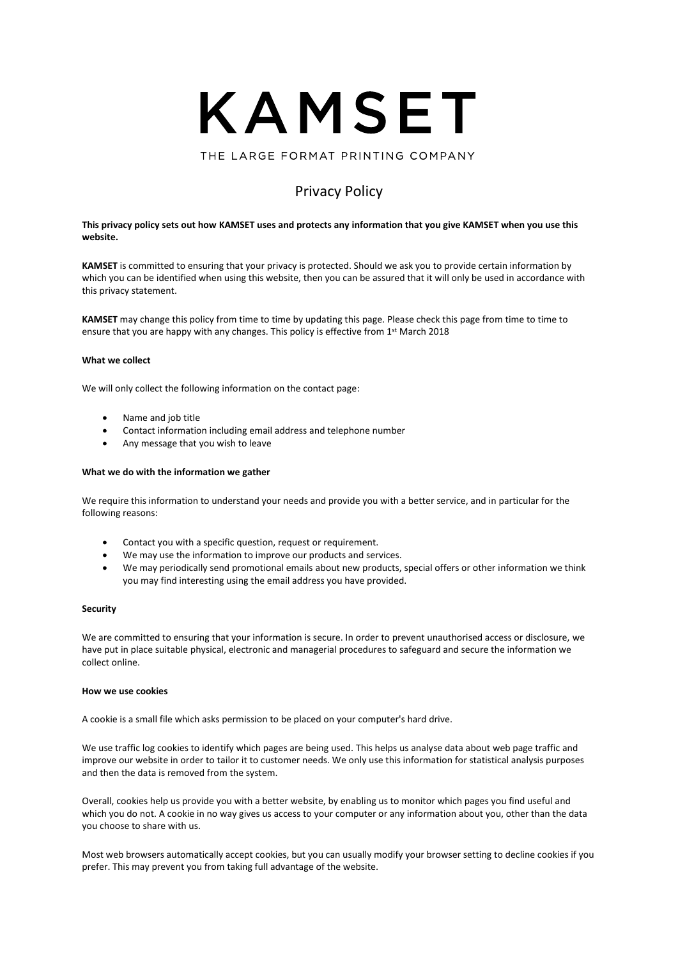

THE LARGE FORMAT PRINTING COMPANY

# Privacy Policy

# **This privacy policy sets out how KAMSET uses and protects any information that you give KAMSET when you use this website.**

**KAMSET** is committed to ensuring that your privacy is protected. Should we ask you to provide certain information by which you can be identified when using this website, then you can be assured that it will only be used in accordance with this privacy statement.

**KAMSET** may change this policy from time to time by updating this page. Please check this page from time to time to ensure that you are happy with any changes. This policy is effective from 1<sup>st</sup> March 2018

#### **What we collect**

We will only collect the following information on the contact page:

- Name and job title
- Contact information including email address and telephone number
- Any message that you wish to leave

#### **What we do with the information we gather**

We require this information to understand your needs and provide you with a better service, and in particular for the following reasons:

- Contact you with a specific question, request or requirement.
- We may use the information to improve our products and services.
- We may periodically send promotional emails about new products, special offers or other information we think you may find interesting using the email address you have provided.

#### **Security**

We are committed to ensuring that your information is secure. In order to prevent unauthorised access or disclosure, we have put in place suitable physical, electronic and managerial procedures to safeguard and secure the information we collect online.

# **How we use cookies**

A cookie is a small file which asks permission to be placed on your computer's hard drive.

We use traffic log cookies to identify which pages are being used. This helps us analyse data about web page traffic and improve our website in order to tailor it to customer needs. We only use this information for statistical analysis purposes and then the data is removed from the system.

Overall, cookies help us provide you with a better website, by enabling us to monitor which pages you find useful and which you do not. A cookie in no way gives us access to your computer or any information about you, other than the data you choose to share with us.

Most web browsers automatically accept cookies, but you can usually modify your browser setting to decline cookies if you prefer. This may prevent you from taking full advantage of the website.